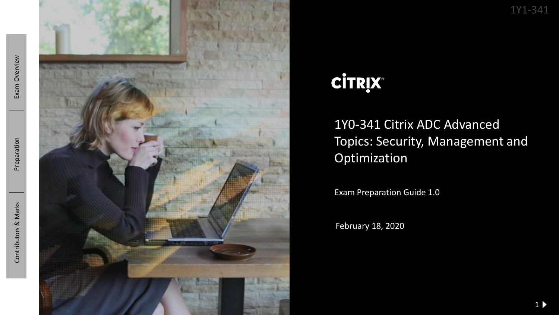Exam Overview



# **CİTRIX®**

### 1Y0 -341 Citrix ADC Advanced Topics: Security, Management and Optimization

Exam Preparation Guide 1.0

February 18, 2020

1Y1 -341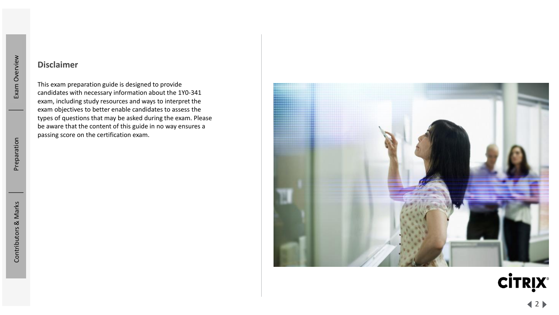#### **Disclaimer**

This exam preparation guide is designed to provide candidates with necessary information about the 1Y0 -341 exam, including study resources and ways to interpret the exam objectives to better enable candidates to assess the types of questions that may be asked during the exam. Please be aware that the content of this guide in no way ensures a passing score on the certification exam.



**CİTRIX®**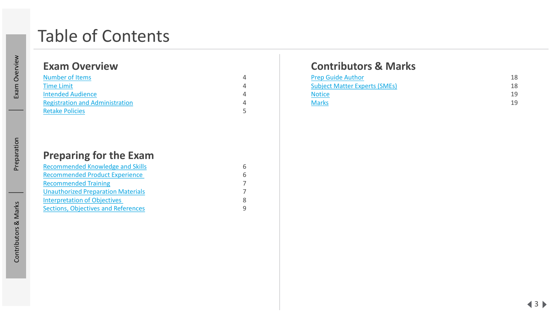## Table of Contents

### **Exam Overview**

| <b>Number of Items</b>                 |  |
|----------------------------------------|--|
| <b>Time Limit</b>                      |  |
| <b>Intended Audience</b>               |  |
| <b>Registration and Administration</b> |  |
| <b>Retake Policies</b>                 |  |

### **Preparing for the Exam**

| <b>Recommended Knowledge and Skills</b>    |  |
|--------------------------------------------|--|
| <b>Recommended Product Experience</b>      |  |
| <b>Recommended Training</b>                |  |
| <b>Unauthorized Preparation Materials</b>  |  |
| <b>Interpretation of Objectives</b>        |  |
| <b>Sections, Objectives and References</b> |  |

### **Contributors & Marks**

| <b>Prep Guide Author</b>             | 18 |
|--------------------------------------|----|
| <b>Subject Matter Experts (SMEs)</b> | 18 |
| <b>Notice</b>                        | 19 |
| <b>Marks</b>                         | 19 |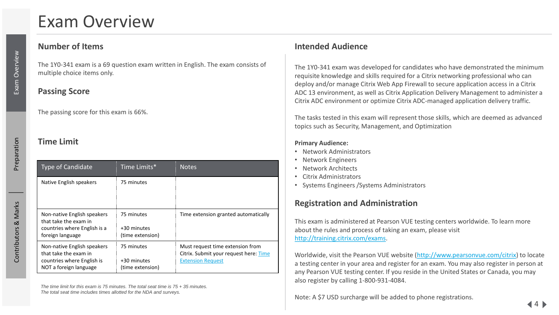## <span id="page-3-0"></span>Exam Overview

#### **Number of Items**

Exam Overview

The 1Y0-341 exam is a 69 question exam written in English. The exam consists of multiple choice items only.

#### **Passing Score**

The passing score for this exam is 66%.

#### **Time Limit**

| <b>Type of Candidate</b>                                                                                     | Time Limits*                                  | <b>Notes</b>                                                                                           |
|--------------------------------------------------------------------------------------------------------------|-----------------------------------------------|--------------------------------------------------------------------------------------------------------|
| Native English speakers                                                                                      | 75 minutes                                    |                                                                                                        |
| Non-native English speakers<br>that take the exam in<br>countries where English is a<br>foreign language     | 75 minutes<br>+30 minutes<br>(time extension) | Time extension granted automatically                                                                   |
| Non-native English speakers<br>that take the exam in<br>countries where English is<br>NOT a foreign language | 75 minutes<br>+30 minutes<br>(time extension) | Must request time extension from<br>Citrix. Submit your request here: Time<br><b>Extension Request</b> |

#### **Intended Audience**

The 1Y0-341 exam was developed for candidates who have demonstrated the minimum requisite knowledge and skills required for a Citrix networking professional who can deploy and/or manage Citrix Web App Firewall to secure application access in a Citrix ADC 13 environment, as well as Citrix Application Delivery Management to administer a Citrix ADC environment or optimize Citrix ADC-managed application delivery traffic.

The tasks tested in this exam will represent those skills, which are deemed as advanced topics such as Security, Management, and Optimization

#### **Primary Audience:**

- Network Administrators
- Network Engineers
- Network Architects
- Citrix Administrators
- Systems Engineers /Systems Administrators

#### **Registration and Administration**

This exam is administered at Pearson VUE testing centers worldwide. To learn more about the rules and process of taking an exam, please visit [http://training.citrix.com/exams.](http://training.citrix.com/exams)

Worldwide, visit the Pearson VUE website (<http://www.pearsonvue.com/citrix>) to locate a testing center in your area and register for an exam. You may also register in person at any Pearson VUE testing center. If you reside in the United States or Canada, you may also register by calling 1-800-931-4084.

Note: A \$7 USD surcharge will be added to phone registrations.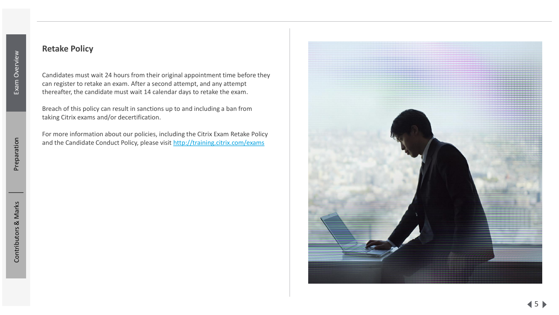#### <span id="page-4-0"></span>**Retake Policy**

Candidates must wait 24 hours from their original appointment time before they can register to retake an exam. After a second attempt, and any attempt thereafter, the candidate must wait 14 calendar days to retake the exam .

Breach of this policy can result in sanctions up to and including a ban from taking Citrix exams and/or decertification.

For more information about our policies, including the Citrix Exam Retake Policy and the Candidate Conduct Policy, please visit <http://training.citrix.com/exams>

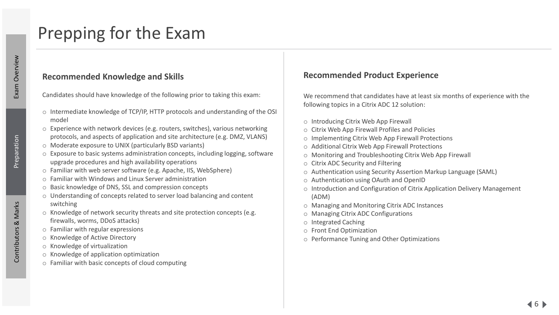## <span id="page-5-0"></span>Prepping for the Exam

#### **Recommended Knowledge and Skills**

Preparation

Candidates should have knowledge of the following prior to taking this exam:

- o Intermediate knowledge of TCP/IP, HTTP protocols and understanding of the OSI model
- $\circ$  Experience with network devices (e.g. routers, switches), various networking protocols, and aspects of application and site architecture (e.g. DMZ, VLANS)
- o Moderate exposure to UNIX (particularly BSD variants)
- o Exposure to basic systems administration concepts, including logging, software upgrade procedures and high availability operations
- o Familiar with web server software (e.g. Apache, IIS, WebSphere)
- o Familiar with Windows and Linux Server administration
- o Basic knowledge of DNS, SSL and compression concepts
- o Understanding of concepts related to server load balancing and content switching
- o Knowledge of network security threats and site protection concepts (e.g. firewalls, worms, DDoS attacks)
- o Familiar with regular expressions
- o Knowledge of Active Directory
- o Knowledge of virtualization
- o Knowledge of application optimization
- o Familiar with basic concepts of cloud computing

#### **Recommended Product Experience**

We recommend that candidates have at least six months of experience with the following topics in a Citrix ADC 12 solution:

- o Introducing Citrix Web App Firewall
- o Citrix Web App Firewall Profiles and Policies
- o Implementing Citrix Web App Firewall Protections
- o Additional Citrix Web App Firewall Protections
- o Monitoring and Troubleshooting Citrix Web App Firewall
- o Citrix ADC Security and Filtering
- o Authentication using Security Assertion Markup Language (SAML)
- o Authentication using OAuth and OpenID
- o Introduction and Configuration of Citrix Application Delivery Management (ADM)
- o Managing and Monitoring Citrix ADC Instances
- o Managing Citrix ADC Configurations
- o Integrated Caching
- o Front End Optimization
- o Performance Tuning and Other Optimizations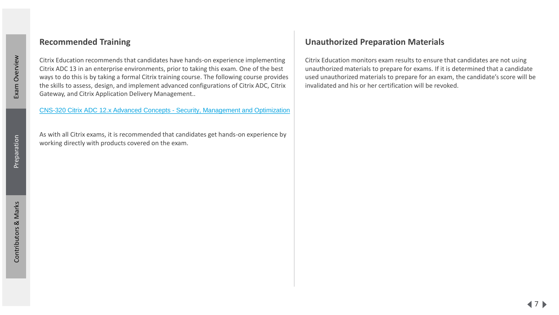#### <span id="page-6-0"></span>**Recommended Training**

Citrix Education recommends that candidates have hands-on experience implementing Citrix ADC 13 in an enterprise environments, prior to taking this exam. One of the best ways to do this is by taking a formal Citrix training course. The following course provides the skills to assess, design, and implement advanced configurations of Citrix ADC, Citrix Gateway, and Citrix Application Delivery Management..

[CNS-320 Citrix ADC 12.x Advanced Concepts -](https://training.citrix.com/learning/course?courseId=1683) Security, Management and Optimization

As with all Citrix exams, it is recommended that candidates get hands-on experience by working directly with products covered on the exam.

#### **Unauthorized Preparation Materials**

Citrix Education monitors exam results to ensure that candidates are not using unauthorized materials to prepare for exams. If it is determined that a candidate used unauthorized materials to prepare for an exam, the candidate's score will be invalidated and his or her certification will be revoked.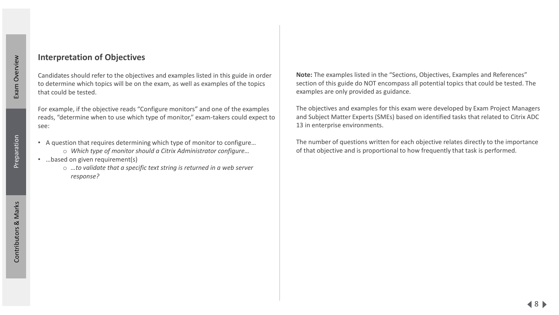#### <span id="page-7-0"></span>**Interpretation of Objectives**

Candidates should refer to the objectives and examples listed in this guide in order to determine which topics will be on the exam, as well as examples of the topics that could be tested.

For example, if the objective reads "Configure monitors" and one of the examples reads, "determine when to use which type of monitor," exam-takers could expect to see:

- A question that requires determining which type of monitor to configure…
	- o *Which type of monitor should a Citrix Administrator configure…*
- …based on given requirement(s)
	- o *…to validate that a specific text string is returned in a web server response?*

**Note:** The examples listed in the "Sections, Objectives, Examples and References" section of this guide do NOT encompass all potential topics that could be tested. The examples are only provided as guidance.

The objectives and examples for this exam were developed by Exam Project Managers and Subject Matter Experts (SMEs) based on identified tasks that related to Citrix ADC 13 in enterprise environments.

The number of questions written for each objective relates directly to the importance of that objective and is proportional to how frequently that task is performed.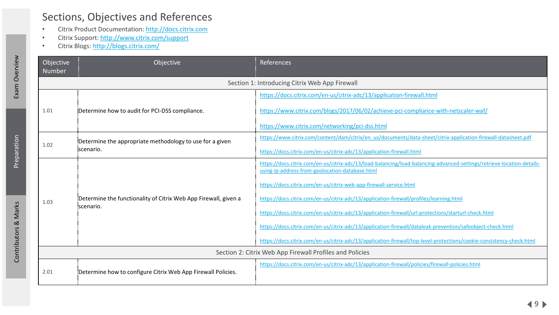### <span id="page-8-0"></span>Sections, Objectives and References

- Citrix Product Documentation: [http://docs.citrix.com](http://docs.citrix.com/)
- Citrix Support:<http://www.citrix.com/support>
- Citrix Blogs: <http://blogs.citrix.com/>

| Objective<br><b>Number</b> | Objective                                                       | References                                                                                                                                                                |  |
|----------------------------|-----------------------------------------------------------------|---------------------------------------------------------------------------------------------------------------------------------------------------------------------------|--|
|                            |                                                                 | Section 1: Introducing Citrix Web App Firewall                                                                                                                            |  |
|                            |                                                                 | https://docs.citrix.com/en-us/citrix-adc/13/application-firewall.html                                                                                                     |  |
| 1.01                       | Determine how to audit for PCI-DSS compliance.                  | https://www.citrix.com/blogs/2017/06/02/achieve-pci-compliance-with-netscaler-waf/                                                                                        |  |
|                            |                                                                 | https://www.citrix.com/networking/pci-dss.html                                                                                                                            |  |
|                            | Determine the appropriate methodology to use for a given        | https://www.citrix.com/content/dam/citrix/en_us/documents/data-sheet/citrix-application-firewall-datasheet.pdf                                                            |  |
| 1.02                       | scenario.                                                       | https://docs.citrix.com/en-us/citrix-adc/13/application-firewall.html                                                                                                     |  |
|                            |                                                                 | https://docs.citrix.com/en-us/citrix-adc/13/load-balancing/load-balancing-advanced-settings/retrieve-location-details-<br>using-ip-address-from-geolocation-database.html |  |
|                            |                                                                 | https://docs.citrix.com/en-us/citrix-web-app-firewall-service.html                                                                                                        |  |
| 1.03                       | Determine the functionality of Citrix Web App Firewall, given a | https://docs.citrix.com/en-us/citrix-adc/13/application-firewall/profiles/learning.html                                                                                   |  |
|                            | scenario.                                                       | https://docs.citrix.com/en-us/citrix-adc/13/application-firewall/url-protections/starturl-check.html                                                                      |  |
|                            |                                                                 | https://docs.citrix.com/en-us/citrix-adc/13/application-firewall/dataleak-prevention/safeobject-check.html                                                                |  |
|                            |                                                                 | https://docs.citrix.com/en-us/citrix-adc/13/application-firewall/top-level-protections/cookie-consistency-check.html                                                      |  |
|                            | Section 2: Citrix Web App Firewall Profiles and Policies        |                                                                                                                                                                           |  |
| 2.01                       | Determine how to configure Citrix Web App Firewall Policies.    | https://docs.citrix.com/en-us/citrix-adc/13/application-firewall/policies/firewall-policies.html                                                                          |  |

Exam Overview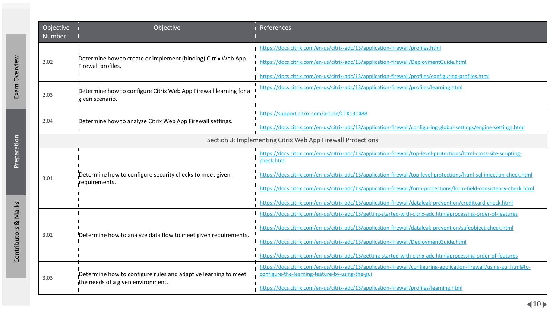| Objective<br>Number | Objective                                                                                   | References                                                                                                                                                              |
|---------------------|---------------------------------------------------------------------------------------------|-------------------------------------------------------------------------------------------------------------------------------------------------------------------------|
|                     | Determine how to create or implement (binding) Citrix Web App<br>2.02<br>Firewall profiles. | https://docs.citrix.com/en-us/citrix-adc/13/application-firewall/profiles.html                                                                                          |
|                     |                                                                                             | https://docs.citrix.com/en-us/citrix-adc/13/application-firewall/DeploymentGuide.html                                                                                   |
|                     |                                                                                             | https://docs.citrix.com/en-us/citrix-adc/13/application-firewall/profiles/configuring-profiles.html                                                                     |
| 2.03                | Determine how to configure Citrix Web App Firewall learning for a<br>given scenario.        | https://docs.citrix.com/en-us/citrix-adc/13/application-firewall/profiles/learning.html                                                                                 |
|                     |                                                                                             | https://support.citrix.com/article/CTX131488                                                                                                                            |
| 2.04                | Determine how to analyze Citrix Web App Firewall settings.                                  | https://docs.citrix.com/en-us/citrix-adc/13/application-firewall/configuring-global-settings/engine-settings.html                                                       |
|                     |                                                                                             | Section 3: Implementing Citrix Web App Firewall Protections                                                                                                             |
|                     |                                                                                             | https://docs.citrix.com/en-us/citrix-adc/13/application-firewall/top-level-protections/html-cross-site-scripting-<br>check.html                                         |
| 3.01                | Determine how to configure security checks to meet given<br>requirements.                   | https://docs.citrix.com/en-us/citrix-adc/13/application-firewall/top-level-protections/html-sql-injection-check.html                                                    |
|                     |                                                                                             | https://docs.citrix.com/en-us/citrix-adc/13/application-firewall/form-protections/form-field-consistency-check.html                                                     |
|                     |                                                                                             | https://docs.citrix.com/en-us/citrix-adc/13/application-firewall/dataleak-prevention/creditcard-check.html                                                              |
|                     |                                                                                             | https://docs.citrix.com/en-us/citrix-adc/13/getting-started-with-citrix-adc.html#processing-order-of-features                                                           |
| 3.02                | Determine how to analyze data flow to meet given requirements.                              | https://docs.citrix.com/en-us/citrix-adc/13/application-firewall/dataleak-prevention/safeobject-check.html                                                              |
|                     |                                                                                             | https://docs.citrix.com/en-us/citrix-adc/13/application-firewall/DeploymentGuide.html                                                                                   |
|                     |                                                                                             | https://docs.citrix.com/en-us/citrix-adc/13/getting-started-with-citrix-adc.html#processing-order-of-features                                                           |
| 3.03                | Determine how to configure rules and adaptive learning to meet                              | https://docs.citrix.com/en-us/citrix-adc/13/application-firewall/configuring-application-firewall/using-gui.html#to-<br>configure-the-learning-feature-by-using-the-gui |
|                     | the needs of a given environment.                                                           | https://docs.citrix.com/en-us/citrix-adc/13/application-firewall/profiles/learning.html                                                                                 |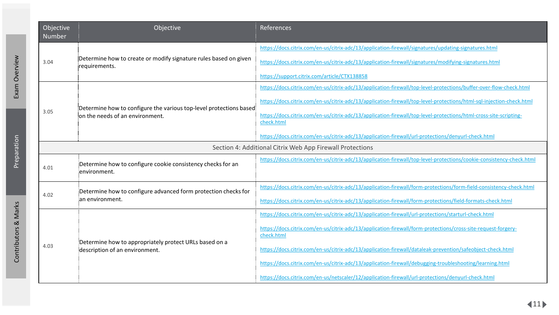| Objective<br>Number | Objective                                                                                | References                                                                                                                      |
|---------------------|------------------------------------------------------------------------------------------|---------------------------------------------------------------------------------------------------------------------------------|
|                     | Determine how to create or modify signature rules based on given<br>requirements.        | https://docs.citrix.com/en-us/citrix-adc/13/application-firewall/signatures/updating-signatures.html                            |
| 3.04                |                                                                                          | https://docs.citrix.com/en-us/citrix-adc/13/application-firewall/signatures/modifying-signatures.html                           |
|                     |                                                                                          | https://support.citrix.com/article/CTX138858                                                                                    |
|                     | Determine how to configure the various top-level protections based:                      | https://docs.citrix.com/en-us/citrix-adc/13/application-firewall/top-level-protections/buffer-over-flow-check.html              |
|                     |                                                                                          | https://docs.citrix.com/en-us/citrix-adc/13/application-firewall/top-level-protections/html-sql-injection-check.html            |
| 3.05                | ion the needs of an environment.                                                         | https://docs.citrix.com/en-us/citrix-adc/13/application-firewall/top-level-protections/html-cross-site-scripting-<br>check.html |
|                     |                                                                                          | https://docs.citrix.com/en-us/citrix-adc/13/application-firewall/url-protections/denyurl-check.html                             |
|                     |                                                                                          | Section 4: Additional Citrix Web App Firewall Protections                                                                       |
| 4.01                | Determine how to configure cookie consistency checks for an<br>:environment.             | https://docs.citrix.com/en-us/citrix-adc/13/application-firewall/top-level-protections/cookie-consistency-check.html            |
|                     | Determine how to configure advanced form protection checks for                           | https://docs.citrix.com/en-us/citrix-adc/13/application-firewall/form-protections/form-field-consistency-check.html             |
| 4.02                | ian environment.                                                                         | https://docs.citrix.com/en-us/citrix-adc/13/application-firewall/form-protections/field-formats-check.html                      |
|                     |                                                                                          | https://docs.citrix.com/en-us/citrix-adc/13/application-firewall/url-protections/starturl-check.html                            |
|                     |                                                                                          | https://docs.citrix.com/en-us/citrix-adc/13/application-firewall/form-protections/cross-site-request-forgery-<br>check.html     |
| 4.03                | Determine how to appropriately protect URLs based on a<br>description of an environment. | https://docs.citrix.com/en-us/citrix-adc/13/application-firewall/dataleak-prevention/safeobject-check.html                      |
|                     |                                                                                          | https://docs.citrix.com/en-us/citrix-adc/13/application-firewall/debugging-troubleshooting/learning.html                        |
|                     |                                                                                          | https://docs.citrix.com/en-us/netscaler/12/application-firewall/url-protections/denyurl-check.html                              |

[Contributors & Marks](#page-17-0) [Exam Overview](#page-3-0) [Preparation](#page-5-0)

Preparation

Contributors & Marks

Exam Overview

 $\left\langle 11 \right\rangle$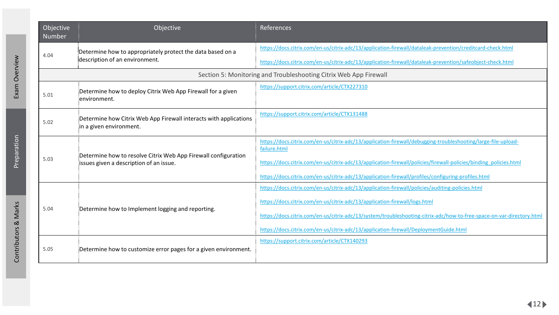| Objective<br><b>Number</b> | Objective                                                                                                 | References                                                                                                                                                                                                                                                                                                                                                                                       |
|----------------------------|-----------------------------------------------------------------------------------------------------------|--------------------------------------------------------------------------------------------------------------------------------------------------------------------------------------------------------------------------------------------------------------------------------------------------------------------------------------------------------------------------------------------------|
| 4.04                       | Determine how to appropriately protect the data based on a<br>description of an environment.              | https://docs.citrix.com/en-us/citrix-adc/13/application-firewall/dataleak-prevention/creditcard-check.html<br>https://docs.citrix.com/en-us/citrix-adc/13/application-firewall/dataleak-prevention/safeobject-check.html                                                                                                                                                                         |
|                            |                                                                                                           | Section 5: Monitoring and Troubleshooting Citrix Web App Firewall                                                                                                                                                                                                                                                                                                                                |
| 5.01                       | Determine how to deploy Citrix Web App Firewall for a given<br>environment.                               | https://support.citrix.com/article/CTX227310                                                                                                                                                                                                                                                                                                                                                     |
| 5.02                       | Determine how Citrix Web App Firewall interacts with applications<br>in a given environment.              | https://support.citrix.com/article/CTX131488                                                                                                                                                                                                                                                                                                                                                     |
| 5.03                       | Determine how to resolve Citrix Web App Firewall configuration<br>issues given a description of an issue. | https://docs.citrix.com/en-us/citrix-adc/13/application-firewall/debugging-troubleshooting/large-file-upload-<br>failure.html<br>https://docs.citrix.com/en-us/citrix-adc/13/application-firewall/policies/firewall-policies/binding policies.html<br>https://docs.citrix.com/en-us/citrix-adc/13/application-firewall/profiles/configuring-profiles.html                                        |
| 5.04                       | Determine how to Implement logging and reporting.                                                         | https://docs.citrix.com/en-us/citrix-adc/13/application-firewall/policies/auditing-policies.html<br>https://docs.citrix.com/en-us/citrix-adc/13/application-firewall/logs.html<br>https://docs.citrix.com/en-us/citrix-adc/13/system/troubleshooting-citrix-adc/how-to-free-space-on-var-directory.html<br>https://docs.citrix.com/en-us/citrix-adc/13/application-firewall/DeploymentGuide.html |
| 5.05                       | Determine how to customize error pages for a given environment.                                           | https://support.citrix.com/article/CTX140293                                                                                                                                                                                                                                                                                                                                                     |

[Contributors & Marks](#page-17-0) [Exam Overview](#page-3-0) [Preparation](#page-5-0) Contributors & Marks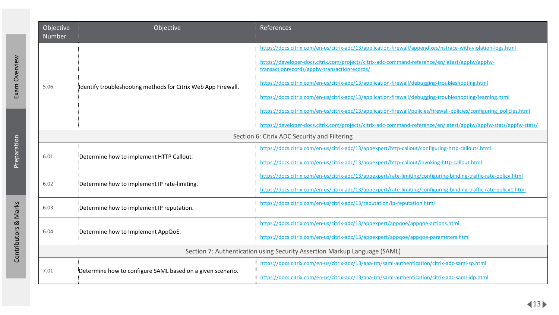| Objective<br><b>Number</b> | Objective                                                                 | <b>References</b>                                                                                                                                                                                              |  |
|----------------------------|---------------------------------------------------------------------------|----------------------------------------------------------------------------------------------------------------------------------------------------------------------------------------------------------------|--|
|                            |                                                                           | https://docs.citrix.com/en-us/citrix-adc/13/application-firewall/appendixes/nstrace-with-violation-logs.html<br>https://developer-docs.citrix.com/projects/citrix-adc-command-reference/en/latest/appfw/appfw- |  |
|                            |                                                                           | transactionrecords/appfw-transactionrecords/                                                                                                                                                                   |  |
| 5.06                       | Identify troubleshooting methods for Citrix Web App Firewall.             | https://docs.citrix.com/en-us/citrix-adc/13/application-firewall/debugging-troubleshooting.html                                                                                                                |  |
|                            |                                                                           | https://docs.citrix.com/en-us/citrix-adc/13/application-firewall/debugging-troubleshooting/learning.html                                                                                                       |  |
|                            |                                                                           | https://docs.citrix.com/en-us/citrix-adc/13/application-firewall/policies/firewall-policies/configuring policies.html                                                                                          |  |
|                            |                                                                           | https://developer-docs.citrix.com/projects/citrix-adc-command-reference/en/latest/appfw/appfw-stats/appfw-stats/                                                                                               |  |
|                            |                                                                           | Section 6: Citrix ADC Security and Filtering                                                                                                                                                                   |  |
|                            |                                                                           | https://docs.citrix.com/en-us/citrix-adc/13/appexpert/http-callout/configuring-http-callouts.html                                                                                                              |  |
| 6.01                       | Determine how to implement HTTP Callout.                                  | https://docs.citrix.com/en-us/citrix-adc/13/appexpert/http-callout/invoking-http-callout.html                                                                                                                  |  |
|                            |                                                                           | https://docs.citrix.com/en-us/citrix-adc/13/appexpert/rate-limiting/configuring-binding-traffic-rate-policy.html                                                                                               |  |
| 6.02                       | Determine how to implement IP rate-limiting.                              | https://docs.citrix.com/en-us/citrix-adc/13/appexpert/rate-limiting/configuring-binding-traffic-rate-policy1.html                                                                                              |  |
| 6.03                       | Determine how to implement IP reputation.                                 | https://docs.citrix.com/en-us/citrix-adc/13/reputation/ip-reputation.html                                                                                                                                      |  |
|                            |                                                                           | https://docs.citrix.com/en-us/citrix-adc/13/appexpert/appgoe/appgoe-actions.html                                                                                                                               |  |
| 6.04                       | Determine how to Implement AppQoE.                                        | https://docs.citrix.com/en-us/citrix-adc/13/appexpert/appgoe/appgoe-parameters.html                                                                                                                            |  |
|                            | Section 7: Authentication using Security Assertion Markup Language (SAML) |                                                                                                                                                                                                                |  |
|                            |                                                                           | https://docs.citrix.com/en-us/citrix-adc/13/aaa-tm/saml-authentication/citrix-adc-saml-sp.html                                                                                                                 |  |
| 7.01                       | Determine how to configure SAML based on a given scenario.                | https://docs.citrix.com/en-us/citrix-adc/13/aaa-tm/saml-authentication/citrix-adc-saml-idp.html                                                                                                                |  |

[Contributors & Marks](#page-17-0) [Exam Overview](#page-3-0) [Preparation](#page-5-0)

Preparation

Contributors & Marks

Exam Overview

 $\blacktriangleleft$ 13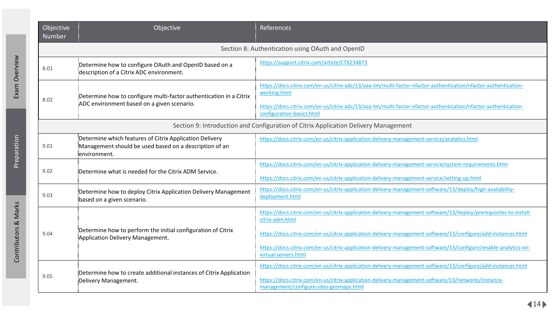| Objective<br><b>Number</b> | Objective                                                                                                                         | <b>References</b>                                                                                                                                                                                                                                                                                                                                                                                |
|----------------------------|-----------------------------------------------------------------------------------------------------------------------------------|--------------------------------------------------------------------------------------------------------------------------------------------------------------------------------------------------------------------------------------------------------------------------------------------------------------------------------------------------------------------------------------------------|
|                            |                                                                                                                                   | Section 8: Authentication using OAuth and OpenID                                                                                                                                                                                                                                                                                                                                                 |
| 8.01                       | Determine how to configure OAuth and OpenID based on a<br>description of a Citrix ADC environment.                                | https://support.citrix.com/article/CTX234873                                                                                                                                                                                                                                                                                                                                                     |
| 8.02                       | Determine how to configure multi-factor authentication in a Citrix<br>¡ADC environment based on a given scenario.                 | https://docs.citrix.com/en-us/citrix-adc/13/aaa-tm/multi-factor-nfactor-authentication/nfactor-authentication-<br>working.html<br>https://docs.citrix.com/en-us/citrix-adc/13/aaa-tm/multi-factor-nfactor-authentication/nfactor-authentication-<br>configuration-basics.html                                                                                                                    |
|                            |                                                                                                                                   | Section 9: Introduction and Configuration of Citrix Application Delivery Management                                                                                                                                                                                                                                                                                                              |
| 9.01                       | Determine which features of Citrix Application Delivery<br>Management should be used based on a description of an<br>environment. | https://docs.citrix.com/en-us/citrix-application-delivery-management-service/analytics.html                                                                                                                                                                                                                                                                                                      |
| 9.02                       | Determine what is needed for the Citrix ADM Service.                                                                              | https://docs.citrix.com/en-us/citrix-application-delivery-management-service/system-requirements.html<br>https://docs.citrix.com/en-us/citrix-application-delivery-management-service/setting-up.html                                                                                                                                                                                            |
| 9.03                       | Determine how to deploy Citrix Application Delivery Management<br>based on a given scenario.                                      | https://docs.citrix.com/en-us/citrix-application-delivery-management-software/13/deploy/high-availability-<br>deployment.html                                                                                                                                                                                                                                                                    |
| 9.04                       | Determine how to perform the initial configuration of Citrix<br>Application Delivery Management.                                  | https://docs.citrix.com/en-us/citrix-application-delivery-management-software/13/deploy/prerequisites-to-install-<br>citrix-adm.html<br>https://docs.citrix.com/en-us/citrix-application-delivery-management-software/13/configure/add-instances.html<br>https://docs.citrix.com/en-us/citrix-application-delivery-management-software/13/configure/enable-analytics-on-<br>virtual-servers.html |
| 9.05                       | Determine how to create additional instances of Citrix Application<br>Delivery Management.                                        | https://docs.citrix.com/en-us/citrix-application-delivery-management-software/13/configure/add-instances.html<br>https://docs.citrix.com/en-us/citrix-application-delivery-management-software/13/networks/instance-<br>management/configure-sites-geomaps.html                                                                                                                                  |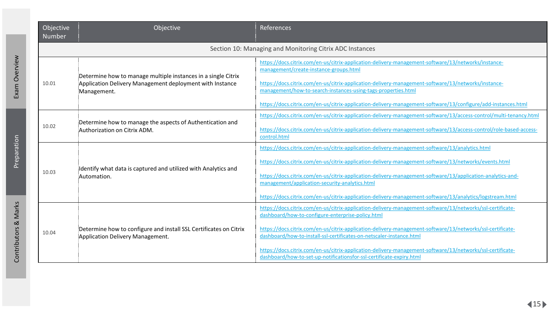| Objective<br>Number | Objective                                                                                                                                 | References                                                                                                                                                                                                                                                                                                                                                                                                                                                                                                                                  |
|---------------------|-------------------------------------------------------------------------------------------------------------------------------------------|---------------------------------------------------------------------------------------------------------------------------------------------------------------------------------------------------------------------------------------------------------------------------------------------------------------------------------------------------------------------------------------------------------------------------------------------------------------------------------------------------------------------------------------------|
|                     |                                                                                                                                           | Section 10: Managing and Monitoring Citrix ADC Instances                                                                                                                                                                                                                                                                                                                                                                                                                                                                                    |
| 10.01               | Determine how to manage multiple instances in a single Citrix<br>Application Delivery Management deployment with Instance<br>:Management. | https://docs.citrix.com/en-us/citrix-application-delivery-management-software/13/networks/instance-<br>management/create-instance-groups.html<br>https://docs.citrix.com/en-us/citrix-application-delivery-management-software/13/networks/instance-<br>management/how-to-search-instances-using-tags-properties.html<br>https://docs.citrix.com/en-us/citrix-application-delivery-management-software/13/configure/add-instances.html                                                                                                      |
| 10.02               | Determine how to manage the aspects of Authentication and<br>Authorization on Citrix ADM.                                                 | https://docs.citrix.com/en-us/citrix-application-delivery-management-software/13/access-control/multi-tenancy.html<br>https://docs.citrix.com/en-us/citrix-application-delivery-management-software/13/access-control/role-based-access-<br>control.html                                                                                                                                                                                                                                                                                    |
| 10.03               | Identify what data is captured and utilized with Analytics and<br>:Automation.                                                            | https://docs.citrix.com/en-us/citrix-application-delivery-management-software/13/analytics.html<br>https://docs.citrix.com/en-us/citrix-application-delivery-management-software/13/networks/events.html<br>https://docs.citrix.com/en-us/citrix-application-delivery-management-software/13/application-analytics-and-<br>management/application-security-analytics.html<br>https://docs.citrix.com/en-us/citrix-application-delivery-management-software/13/analytics/logstream.html                                                      |
| 10.04               | Determine how to configure and install SSL Certificates on Citrix<br>Application Delivery Management.                                     | https://docs.citrix.com/en-us/citrix-application-delivery-management-software/13/networks/ssl-certificate-<br>dashboard/how-to-configure-enterprise-policy.html<br>https://docs.citrix.com/en-us/citrix-application-delivery-management-software/13/networks/ssl-certificate-<br>dashboard/how-to-install-ssl-certificates-on-netscaler-instance.html<br>https://docs.citrix.com/en-us/citrix-application-delivery-management-software/13/networks/ssl-certificate-<br>dashboard/how-to-set-up-notificationsfor-ssl-certificate-expiry.html |

[Contributors & Marks](#page-17-0) [Exam Overview](#page-3-0) [Preparation](#page-5-0) Contributors & Marks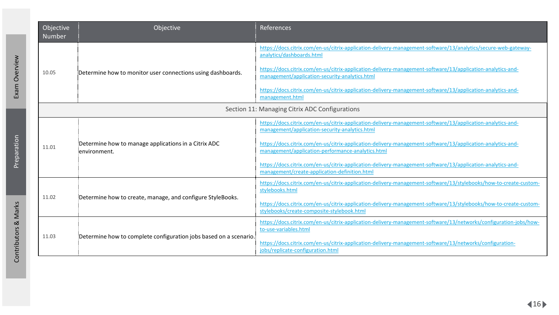| Objective<br><b>Number</b> | Objective                                                            | References                                                                                                                                                       |
|----------------------------|----------------------------------------------------------------------|------------------------------------------------------------------------------------------------------------------------------------------------------------------|
|                            |                                                                      | https://docs.citrix.com/en-us/citrix-application-delivery-management-software/13/analytics/secure-web-gateway-<br>analytics/dashboards.html                      |
| 10.05                      | Determine how to monitor user connections using dashboards.          | https://docs.citrix.com/en-us/citrix-application-delivery-management-software/13/application-analytics-and-<br>management/application-security-analytics.html    |
|                            |                                                                      | https://docs.citrix.com/en-us/citrix-application-delivery-management-software/13/application-analytics-and-<br>management.html                                   |
|                            |                                                                      | Section 11: Managing Citrix ADC Configurations                                                                                                                   |
|                            |                                                                      | https://docs.citrix.com/en-us/citrix-application-delivery-management-software/13/application-analytics-and-<br>management/application-security-analytics.html    |
| 11.01                      | Determine how to manage applications in a Citrix ADC<br>environment. | https://docs.citrix.com/en-us/citrix-application-delivery-management-software/13/application-analytics-and-<br>management/application-performance-analytics.html |
|                            |                                                                      | https://docs.citrix.com/en-us/citrix-application-delivery-management-software/13/application-analytics-and-<br>management/create-application-definition.html     |
| 11.02                      | Determine how to create, manage, and configure StyleBooks.           | https://docs.citrix.com/en-us/citrix-application-delivery-management-software/13/stylebooks/how-to-create-custom-<br>stylebooks.html                             |
|                            |                                                                      | https://docs.citrix.com/en-us/citrix-application-delivery-management-software/13/stylebooks/how-to-create-custom-<br>stylebooks/create-composite-stylebook.html  |
| 11.03                      | Determine how to complete configuration jobs based on a scenario.    | https://docs.citrix.com/en-us/citrix-application-delivery-management-software/13/networks/configuration-jobs/how-<br>to-use-variables.html                       |
|                            |                                                                      | https://docs.citrix.com/en-us/citrix-application-delivery-management-software/13/networks/configuration-<br>jobs/replicate-configuration.html                    |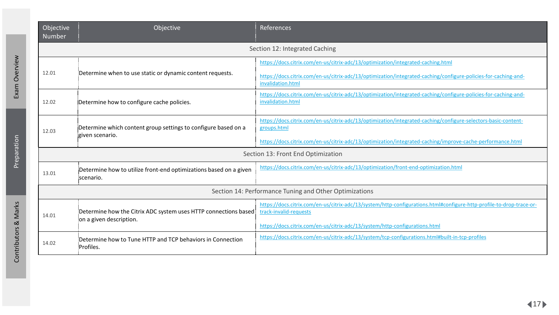| Objective<br>Number                                    | Objective                                                                                   | References                                                                                                                                                                                                                                  |  |
|--------------------------------------------------------|---------------------------------------------------------------------------------------------|---------------------------------------------------------------------------------------------------------------------------------------------------------------------------------------------------------------------------------------------|--|
| Section 12: Integrated Caching                         |                                                                                             |                                                                                                                                                                                                                                             |  |
| 12.01                                                  | Determine when to use static or dynamic content requests.                                   | https://docs.citrix.com/en-us/citrix-adc/13/optimization/integrated-caching.html<br>https://docs.citrix.com/en-us/citrix-adc/13/optimization/integrated-caching/configure-policies-for-caching-and-<br>invalidation.html                    |  |
| 12.02                                                  | Determine how to configure cache policies.                                                  | https://docs.citrix.com/en-us/citrix-adc/13/optimization/integrated-caching/configure-policies-for-caching-and-<br>invalidation.html                                                                                                        |  |
| 12.03                                                  | Determine which content group settings to configure based on a<br>given scenario.           | https://docs.citrix.com/en-us/citrix-adc/13/optimization/integrated-caching/configure-selectors-basic-content-<br>groups.html<br>https://docs.citrix.com/en-us/citrix-adc/13/optimization/integrated-caching/improve-cache-performance.html |  |
| Section 13: Front End Optimization                     |                                                                                             |                                                                                                                                                                                                                                             |  |
| 13.01                                                  | Determine how to utilize front-end optimizations based on a given<br>scenario.              | https://docs.citrix.com/en-us/citrix-adc/13/optimization/front-end-optimization.html                                                                                                                                                        |  |
| Section 14: Performance Tuning and Other Optimizations |                                                                                             |                                                                                                                                                                                                                                             |  |
| 14.01                                                  | Determine how the Citrix ADC system uses HTTP connections based<br>ion a given description. | https://docs.citrix.com/en-us/citrix-adc/13/system/http-configurations.html#configure-http-profile-to-drop-trace-or-<br>track-invalid-requests<br>https://docs.citrix.com/en-us/citrix-adc/13/system/http-configurations.html               |  |
| 14.02                                                  | Determine how to Tune HTTP and TCP behaviors in Connection<br>Profiles.                     | https://docs.citrix.com/en-us/citrix-adc/13/system/tcp-configurations.html#built-in-tcp-profiles                                                                                                                                            |  |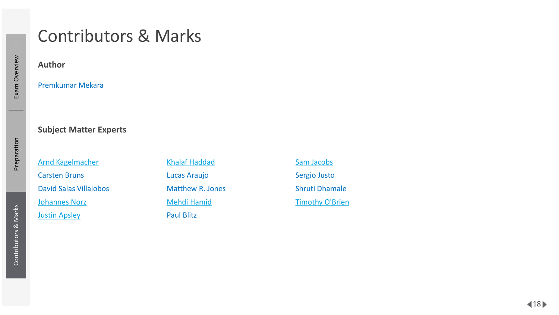## <span id="page-17-0"></span>Contributors & Marks

**Author**

Premkumar Mekara

#### **Subject Matter Experts**

[Arnd Kagelmacher](http://www.linkedin.com/in/akagelmacher) Carsten Bruns David Salas Villalobos [Johannes Norz](https://blog.norz.at/) [Justin Apsley](https://www.linkedin.com/in/justinapsley)

[Khalaf Haddad](https://www.linkedin.com/in/kbhaddad/) Lucas Araujo Matthew R. Jones [Mehdi Hamid](https://www.linkedin.com/in/mehdi-hamid-7427245/) Paul Blitz

[Sam Jacobs](https://www.linkedin.com/in/samjacobsctp/)  Sergio Justo Shruti Dhamale [Timothy O'Brien](https://www.linkedin.com/in/timothyjobrien2/)